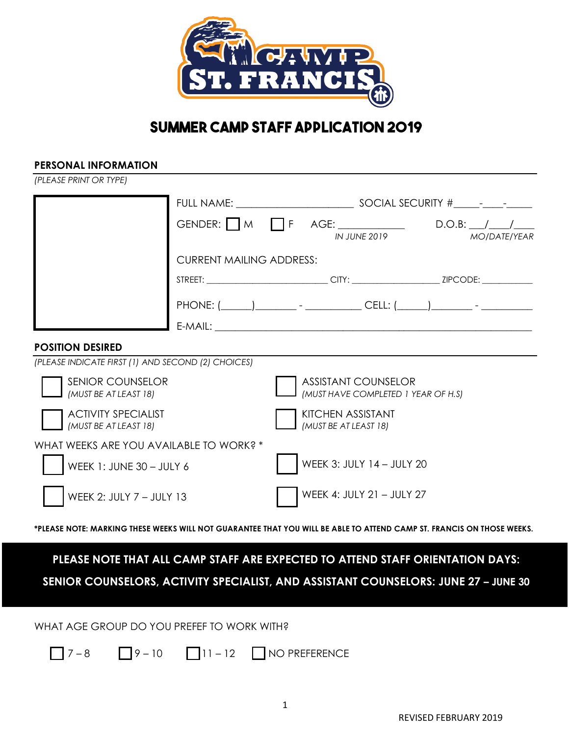

# **SUMMER CAMP STAFF APPLICATION 2019**

### **PERSONAL INFORMATION**

*(PLEASE PRINT OR TYPE)*

|                                                     |                                 |  | IN JUNE 2019                                                      | GENDER: $M \prod F$ AGE: D.O.B: / /<br><b>MOIDATEIYEAR</b> |  |  |
|-----------------------------------------------------|---------------------------------|--|-------------------------------------------------------------------|------------------------------------------------------------|--|--|
|                                                     | <b>CURRENT MAILING ADDRESS:</b> |  |                                                                   |                                                            |  |  |
|                                                     |                                 |  |                                                                   |                                                            |  |  |
|                                                     |                                 |  |                                                                   |                                                            |  |  |
|                                                     |                                 |  |                                                                   |                                                            |  |  |
| <b>POSITION DESIRED</b>                             |                                 |  |                                                                   |                                                            |  |  |
| (PLEASE INDICATE FIRST (1) AND SECOND (2) CHOICES)  |                                 |  |                                                                   |                                                            |  |  |
| <b>SENIOR COUNSELOR</b><br>(MUST BE AT LEAST 18)    |                                 |  | <b>ASSISTANT COUNSELOR</b><br>(MUST HAVE COMPLETED 1 YEAR OF H.S) |                                                            |  |  |
| <b>ACTIVITY SPECIALIST</b><br>(MUST BE AT LEAST 18) |                                 |  | <b>KITCHEN ASSISTANT</b><br>(MUST BE AT LEAST 18)                 |                                                            |  |  |
| WHAT WEEKS ARE YOU AVAILABLE TO WORK? *             |                                 |  |                                                                   |                                                            |  |  |
| WEEK 1: JUNE 30 - JULY 6                            |                                 |  | WEEK 3: JULY 14 - JULY 20                                         |                                                            |  |  |
| WEEK 2: JULY 7 - JULY 13                            |                                 |  | WEEK 4: JULY 21 - JULY 27                                         |                                                            |  |  |

**\*PLEASE NOTE: MARKING THESE WEEKS WILL NOT GUARANTEE THAT YOU WILL BE ABLE TO ATTEND CAMP ST. FRANCIS ON THOSE WEEKS.**

# **PLEASE NOTE THAT ALL CAMP STAFF ARE EXPECTED TO ATTEND STAFF ORIENTATION DAYS:**

**SENIOR COUNSELORS, ACTIVITY SPECIALIST, AND ASSISTANT COUNSELORS: JUNE 27 – JUNE 30**

WHAT AGE GROUP DO YOU PREFEF TO WORK WITH?

 $\sqrt{7-8}$   $\sqrt{9-10}$   $\sqrt{11-12}$  NO PREFERENCE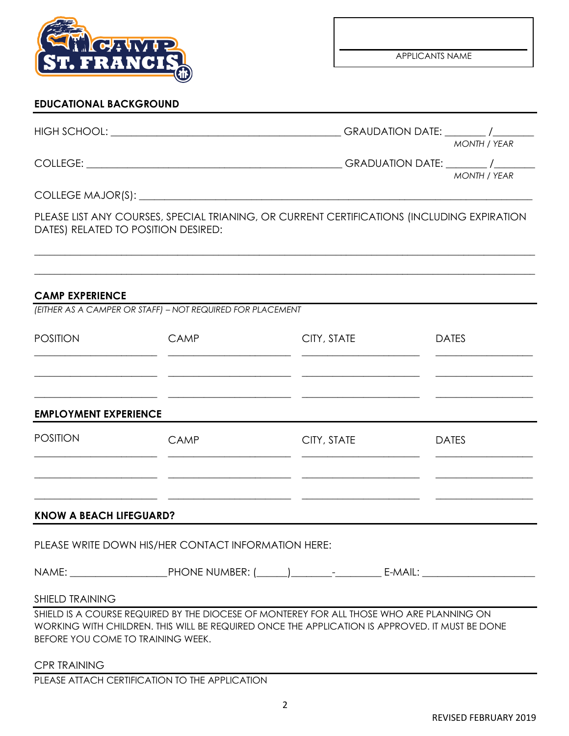

# **EDUCATIONAL BACKGROUND**

| HIGH SCHOOL:      | <b>GRAUDATION DATE:</b><br><b>MONTH / YEAR</b> |
|-------------------|------------------------------------------------|
| COLLEGE:          | <b>GRADUATION DATE:</b><br><b>MONTH / YEAR</b> |
| COLLEGE MAJOR(S): |                                                |

PLEASE LIST ANY COURSES, SPECIAL TRIANING, OR CURRENT CERTIFICATIONS (INCLUDING EXPIRATION DATES) RELATED TO POSITION DESIRED:

 $\_$  , and the set of the set of the set of the set of the set of the set of the set of the set of the set of the set of the set of the set of the set of the set of the set of the set of the set of the set of the set of th

 $\_$  , and the set of the set of the set of the set of the set of the set of the set of the set of the set of the set of the set of the set of the set of the set of the set of the set of the set of the set of the set of th

#### **CAMP EXPERIENCE**

| <b>POSITION</b>                | <b>CAMP</b>                                         | CITY, STATE | <b>DATES</b> |
|--------------------------------|-----------------------------------------------------|-------------|--------------|
| <b>EMPLOYMENT EXPERIENCE</b>   |                                                     |             |              |
| <b>POSITION</b>                | <b>CAMP</b>                                         | CITY, STATE | <b>DATES</b> |
| <b>KNOW A BEACH LIFEGUARD?</b> |                                                     |             |              |
|                                | PLEASE WRITE DOWN HIS/HER CONTACT INFORMATION HERE: |             |              |
|                                |                                                     |             |              |
| <b>SHIELD TRAINING</b>         |                                                     |             |              |

SHIELD IS A COURSE REQUIRED BY THE DIOCESE OF MONTEREY FOR ALL THOSE WHO ARE PLANNING ON WORKING WITH CHILDREN. THIS WILL BE REQUIRED ONCE THE APPLICATION IS APPROVED. IT MUST BE DONE BEFORE YOU COME TO TRAINING WEEK.

CPR TRAINING

PLEASE ATTACH CERTIFICATION TO THE APPLICATION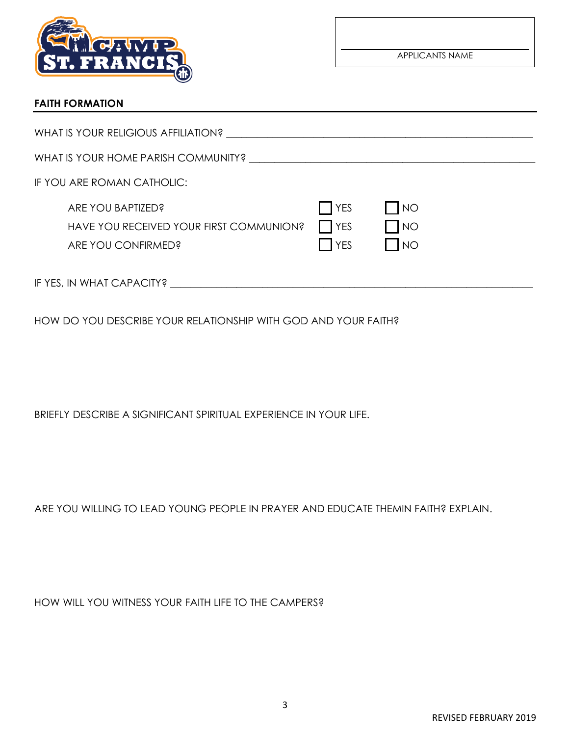

APPLICANTS NAME

# **FAITH FORMATION**

| WHAT IS YOUR RELIGIOUS AFFILIATION?                                                |                                                           |                                                                                      |  |
|------------------------------------------------------------------------------------|-----------------------------------------------------------|--------------------------------------------------------------------------------------|--|
| WHAT IS YOUR HOME PARISH COMMUNITY?                                                |                                                           |                                                                                      |  |
| IF YOU ARE ROMAN CATHOLIC:                                                         |                                                           |                                                                                      |  |
| ARE YOU BAPTIZED?<br>HAVE YOU RECEIVED YOUR FIRST COMMUNION?<br>ARE YOU CONFIRMED? | $\overline{\phantom{a}}$ YES<br>$\prod YES$<br><b>YES</b> | $\overline{\bigwedge}$<br>$\overline{\phantom{1}}$ NO<br>$\overline{\phantom{1}}$ NO |  |
| IF YES, IN WHAT CAPACITY?                                                          |                                                           |                                                                                      |  |

HOW DO YOU DESCRIBE YOUR RELATIONSHIP WITH GOD AND YOUR FAITH?

BRIEFLY DESCRIBE A SIGNIFICANT SPIRITUAL EXPERIENCE IN YOUR LIFE.

ARE YOU WILLING TO LEAD YOUNG PEOPLE IN PRAYER AND EDUCATE THEMIN FAITH? EXPLAIN.

HOW WILL YOU WITNESS YOUR FAITH LIFE TO THE CAMPERS?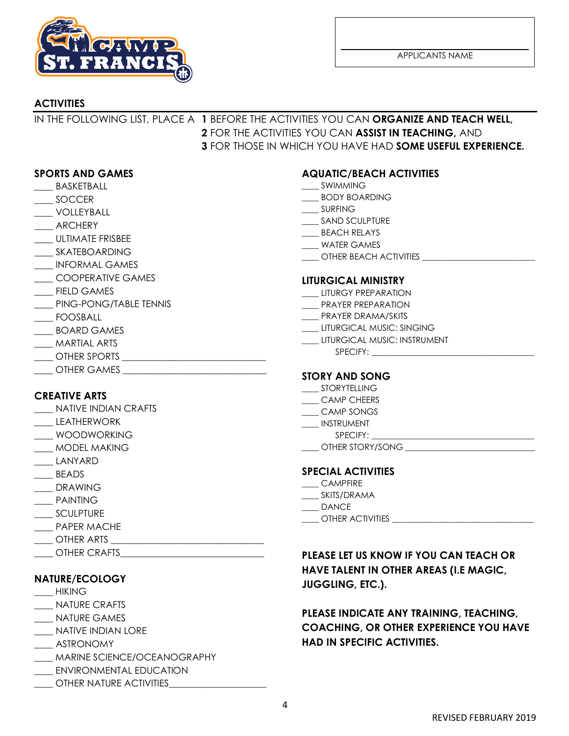

APPLICANTS NAME

# **ACTIVITIES**

# IN THE FOLLOWING LIST, PLACE A **1** BEFORE THE ACTIVITIES YOU CAN **ORGANIZE AND TEACH WELL, 2** FOR THE ACTIVITIES YOU CAN **ASSIST IN TEACHING,** AND **3** FOR THOSE IN WHICH YOU HAVE HAD **SOME USEFUL EXPERIENCE.**

### **SPORTS AND GAMES**

- **\_\_\_\_** BASKETBALL
- \_\_\_\_ SOCCER
- \_\_\_\_ VOLLEYBALL
- \_\_\_\_ ARCHERY
- \_\_\_\_ ULTIMATE FRISBEE
- \_\_\_\_ SKATEBOARDING
- \_\_\_\_ INFORMAL GAMES
- \_\_\_\_ COOPERATIVE GAMES
- FIELD GAMES
- \_\_\_\_ PING-PONG/TABLE TENNIS
- \_\_\_\_ FOOSBALL
- \_\_\_\_ BOARD GAMES
- \_\_\_\_ MARTIAL ARTS
- \_\_\_\_ OTHER SPORTS \_\_\_\_\_\_\_\_\_\_\_\_\_\_\_\_\_\_\_\_\_\_\_\_\_\_\_\_\_\_\_
- \_\_\_\_ OTHER GAMES \_\_\_\_\_\_\_\_\_\_\_\_\_\_\_\_\_\_\_\_\_\_\_\_\_\_\_\_\_\_\_

## **CREATIVE ARTS**

- \_\_\_\_ NATIVE INDIAN CRAFTS
- \_\_\_\_ LEATHERWORK
- \_\_\_\_ WOODWORKING
- \_\_\_\_ MODEL MAKING
- \_\_\_\_ LANYARD
- \_\_\_\_ BEADS
- \_\_\_\_ DRAWING
- \_\_\_\_ PAINTING
- \_\_\_\_ SCULPTURE
- PAPER MACHE
- $\rule{1em}{0}$  other arts
- \_\_\_\_ OTHER CRAFTS\_\_\_\_\_\_\_\_\_\_\_\_\_\_\_\_\_\_\_\_\_\_\_\_\_\_\_\_\_\_\_

## **NATURE/ECOLOGY**

- $\rule{1em}{0.15mm}$  HIKING
- \_\_\_\_ NATURE CRAFTS
- \_\_\_\_ NATURE GAMES
- \_\_\_\_ NATIVE INDIAN LORE
- \_\_\_\_ ASTRONOMY
- \_\_\_\_ MARINE SCIENCE/OCEANOGRAPHY
- \_\_\_\_ ENVIRONMENTAL EDUCATION
- \_\_\_\_ OTHER NATURE ACTIVITIES\_\_\_\_\_\_\_\_\_\_\_\_\_\_\_\_\_\_\_\_\_

## **AQUATIC/BEACH ACTIVITIES**

- \_\_\_\_ SWIMMING
- \_\_\_\_ BODY BOARDING
- \_\_\_\_ SURFING
- \_\_\_\_ SAND SCULPTURE
- \_\_\_\_ BEACH RELAYS
- \_\_\_\_ WATER GAMES
- \_\_\_\_ OTHER BEACH ACTIVITIES \_\_\_\_\_\_\_\_\_\_\_\_\_\_\_\_\_\_\_\_\_\_\_\_\_\_\_

#### **LITURGICAL MINISTRY**

- LITURGY PREPARATION
- PRAYER PREPARATION
- \_\_\_\_ PRAYER DRAMA/SKITS
- \_\_\_\_ LITURGICAL MUSIC: SINGING
- \_\_\_\_ LITURGICAL MUSIC: INSTRUMENT
	- SPECIFY:

#### **STORY AND SONG**

- \_\_\_\_ STORYTELLING
- \_\_\_\_ CAMP CHEERS
- \_\_\_\_ CAMP SONGS
- \_\_\_\_ INSTRUMENT
	- SPECIFY:
- OTHER STORY/SONG **EXECUTE:**

#### **SPECIAL ACTIVITIES**

- \_\_\_\_ CAMPFIRE
- \_\_\_\_ SKITS/DRAMA
- \_\_\_\_ DANCE
- \_\_\_\_ OTHER ACTIVITIES \_\_\_\_\_\_\_\_\_\_\_\_\_\_\_\_\_\_\_\_\_\_\_\_\_\_\_\_\_\_\_\_\_\_

# **PLEASE LET US KNOW IF YOU CAN TEACH OR HAVE TALENT IN OTHER AREAS (I.E MAGIC, JUGGLING, ETC.).**

# **PLEASE INDICATE ANY TRAINING, TEACHING, COACHING, OR OTHER EXPERIENCE YOU HAVE HAD IN SPECIFIC ACTIVITIES.**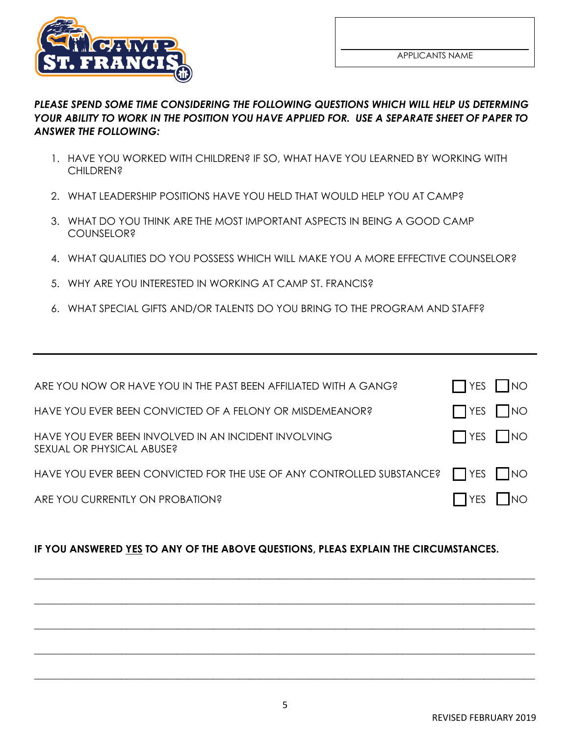

# *PLEASE SPEND SOME TIME CONSIDERING THE FOLLOWING QUESTIONS WHICH WILL HELP US DETERMING YOUR ABILITY TO WORK IN THE POSITION YOU HAVE APPLIED FOR. USE A SEPARATE SHEET OF PAPER TO ANSWER THE FOLLOWING:*

- 1. HAVE YOU WORKED WITH CHILDREN? IF SO, WHAT HAVE YOU LEARNED BY WORKING WITH CHILDREN?
- 2. WHAT LEADERSHIP POSITIONS HAVE YOU HELD THAT WOULD HELP YOU AT CAMP?
- 3. WHAT DO YOU THINK ARE THE MOST IMPORTANT ASPECTS IN BEING A GOOD CAMP **COUNSELOR?**
- 4. WHAT QUALITIES DO YOU POSSESS WHICH WILL MAKE YOU A MORE EFFECTIVE COUNSELOR?
- 5. WHY ARE YOU INTERESTED IN WORKING AT CAMP ST. FRANCIS?
- 6. WHAT SPECIAL GIFTS AND/OR TALENTS DO YOU BRING TO THE PROGRAM AND STAFF?

| ARE YOU NOW OR HAVE YOU IN THE PAST BEEN AFFILIATED WITH A GANG?                  | $\Box$ YES $\Box$ NO |  |
|-----------------------------------------------------------------------------------|----------------------|--|
| HAVE YOU EVER BEEN CONVICTED OF A FELONY OR MISDEMEANOR?                          | $\Box$ YES $\Box$ NO |  |
| HAVE YOU EVER BEEN INVOLVED IN AN INCIDENT INVOLVING<br>SEXUAL OR PHYSICAL ABUSE? | $\Box$ YES $\Box$ NO |  |
| HAVE YOU EVER BEEN CONVICTED FOR THE USE OF ANY CONTROLLED SUBSTANCE?             | $\Box$ YES $\Box$ NO |  |
| ARE YOU CURRENTLY ON PROBATION?                                                   | $\Box$ YES $\Box$ NO |  |

# **IF YOU ANSWERED YES TO ANY OF THE ABOVE QUESTIONS, PLEAS EXPLAIN THE CIRCUMSTANCES.**

**\_\_\_\_\_\_\_\_\_\_\_\_\_\_\_\_\_\_\_\_\_\_\_\_\_\_\_\_\_\_\_\_\_\_\_\_\_\_\_\_\_\_\_\_\_\_\_\_\_\_\_\_\_\_\_\_\_\_\_\_\_\_\_\_\_\_\_\_\_\_\_\_\_\_\_\_\_\_\_\_\_\_\_\_\_\_\_\_\_\_\_\_\_\_\_\_\_\_**

**\_\_\_\_\_\_\_\_\_\_\_\_\_\_\_\_\_\_\_\_\_\_\_\_\_\_\_\_\_\_\_\_\_\_\_\_\_\_\_\_\_\_\_\_\_\_\_\_\_\_\_\_\_\_\_\_\_\_\_\_\_\_\_\_\_\_\_\_\_\_\_\_\_\_\_\_\_\_\_\_\_\_\_\_\_\_\_\_\_\_\_\_\_\_\_\_\_\_**

**\_\_\_\_\_\_\_\_\_\_\_\_\_\_\_\_\_\_\_\_\_\_\_\_\_\_\_\_\_\_\_\_\_\_\_\_\_\_\_\_\_\_\_\_\_\_\_\_\_\_\_\_\_\_\_\_\_\_\_\_\_\_\_\_\_\_\_\_\_\_\_\_\_\_\_\_\_\_\_\_\_\_\_\_\_\_\_\_\_\_\_\_\_\_\_\_\_\_**

**\_\_\_\_\_\_\_\_\_\_\_\_\_\_\_\_\_\_\_\_\_\_\_\_\_\_\_\_\_\_\_\_\_\_\_\_\_\_\_\_\_\_\_\_\_\_\_\_\_\_\_\_\_\_\_\_\_\_\_\_\_\_\_\_\_\_\_\_\_\_\_\_\_\_\_\_\_\_\_\_\_\_\_\_\_\_\_\_\_\_\_\_\_\_\_\_\_\_**

**\_\_\_\_\_\_\_\_\_\_\_\_\_\_\_\_\_\_\_\_\_\_\_\_\_\_\_\_\_\_\_\_\_\_\_\_\_\_\_\_\_\_\_\_\_\_\_\_\_\_\_\_\_\_\_\_\_\_\_\_\_\_\_\_\_\_\_\_\_\_\_\_\_\_\_\_\_\_\_\_\_\_\_\_\_\_\_\_\_\_\_\_\_\_\_\_\_\_**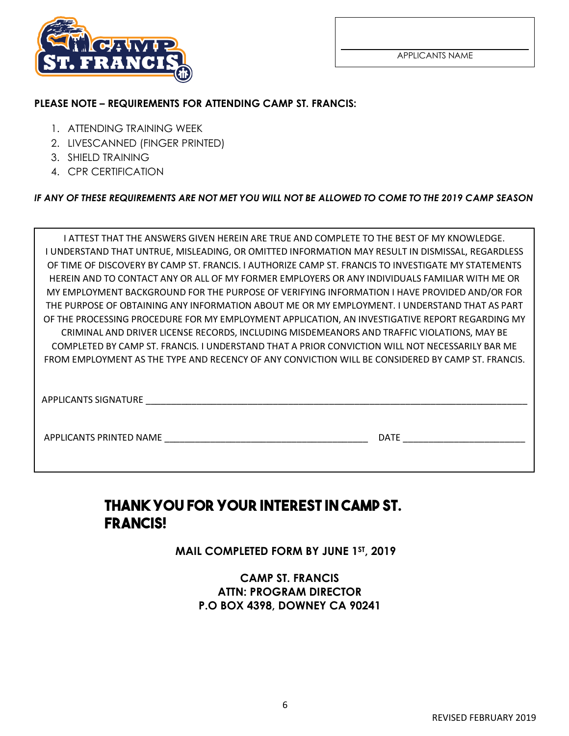

## **PLEASE NOTE – REQUIREMENTS FOR ATTENDING CAMP ST. FRANCIS:**

- 1. ATTENDING TRAINING WEEK
- 2. LIVESCANNED (FINGER PRINTED)
- 3. SHIELD TRAINING
- 4. CPR CERTIFICATION

*IF ANY OF THESE REQUIREMENTS ARE NOT MET YOU WILL NOT BE ALLOWED TO COME TO THE 2019 CAMP SEASON* 

| I ATTEST THAT THE ANSWERS GIVEN HEREIN ARE TRUE AND COMPLETE TO THE BEST OF MY KNOWLEDGE.           |
|-----------------------------------------------------------------------------------------------------|
| I UNDERSTAND THAT UNTRUE, MISLEADING, OR OMITTED INFORMATION MAY RESULT IN DISMISSAL, REGARDLESS    |
| OF TIME OF DISCOVERY BY CAMP ST. FRANCIS. I AUTHORIZE CAMP ST. FRANCIS TO INVESTIGATE MY STATEMENTS |
| HEREIN AND TO CONTACT ANY OR ALL OF MY FORMER EMPLOYERS OR ANY INDIVIDUALS FAMILIAR WITH ME OR      |
| MY EMPLOYMENT BACKGROUND FOR THE PURPOSE OF VERIFYING INFORMATION I HAVE PROVIDED AND/OR FOR        |
| THE PURPOSE OF OBTAINING ANY INFORMATION ABOUT ME OR MY EMPLOYMENT. I UNDERSTAND THAT AS PART       |
| OF THE PROCESSING PROCEDURE FOR MY EMPLOYMENT APPLICATION, AN INVESTIGATIVE REPORT REGARDING MY     |
| CRIMINAL AND DRIVER LICENSE RECORDS, INCLUDING MISDEMEANORS AND TRAFFIC VIOLATIONS, MAY BE          |
| COMPLETED BY CAMP ST. FRANCIS. I UNDERSTAND THAT A PRIOR CONVICTION WILL NOT NECESSARILY BAR ME     |
| FROM EMPLOYMENT AS THE TYPE AND RECENCY OF ANY CONVICTION WILL BE CONSIDERED BY CAMP ST. FRANCIS.   |
|                                                                                                     |
|                                                                                                     |
| APPLICANTS SIGNATURE                                                                                |
|                                                                                                     |

APPLICANTS PRINTED NAME \_\_\_\_\_\_\_\_\_\_\_\_\_\_\_\_\_\_\_\_\_\_\_\_\_\_\_\_\_\_\_\_\_\_\_\_\_\_\_\_ DATE \_\_\_\_\_\_\_\_\_\_\_\_\_\_\_\_\_\_\_\_\_\_\_\_

# **THANKYOUFORYOUR INTEREST INCAMP ST. FRANCIS!**

**MAIL COMPLETED FORM BY JUNE 1ST, 2019**

**CAMP ST. FRANCIS ATTN: PROGRAM DIRECTOR P.O BOX 4398, DOWNEY CA 90241**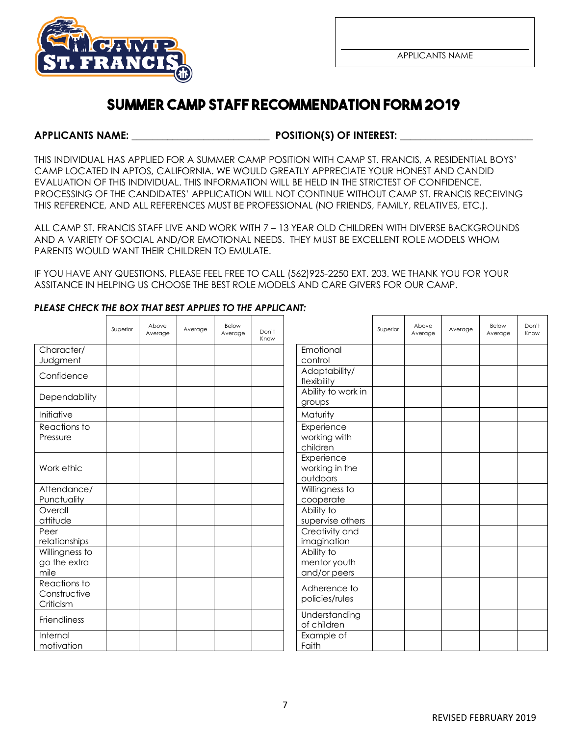

# **SUMMER CAMP STAFF RECOMMENDATIONFORM 2019**

**APPLICANTS NAME: \_\_\_\_\_\_\_\_\_\_\_\_\_\_\_\_\_\_\_\_\_\_\_\_\_\_\_ POSITION(S) OF INTEREST: \_\_\_\_\_\_\_\_\_\_\_\_\_\_\_\_\_\_\_\_\_\_\_\_\_\_** 

THIS INDIVIDUAL HAS APPLIED FOR A SUMMER CAMP POSITION WITH CAMP ST. FRANCIS, A RESIDENTIAL BOYS' CAMP LOCATED IN APTOS, CALIFORNIA. WE WOULD GREATLY APPRECIATE YOUR HONEST AND CANDID EVALUATION OF THIS INDIVIDUAL. THIS INFORMATION WILL BE HELD IN THE STRICTEST OF CONFIDENCE. PROCESSING OF THE CANDIDATES' APPLICATION WILL NOT CONTINUE WITHOUT CAMP ST. FRANCIS RECEIVING THIS REFERENCE, AND ALL REFERENCES MUST BE PROFESSIONAL (NO FRIENDS, FAMILY, RELATIVES, ETC.).

ALL CAMP ST. FRANCIS STAFF LIVE AND WORK WITH 7 – 13 YEAR OLD CHILDREN WITH DIVERSE BACKGROUNDS AND A VARIETY OF SOCIAL AND/OR EMOTIONAL NEEDS. THEY MUST BE EXCELLENT ROLE MODELS WHOM PARENTS WOULD WANT THEIR CHILDREN TO EMULATE.

IF YOU HAVE ANY QUESTIONS, PLEASE FEEL FREE TO CALL (562)925-2250 EXT. 203. WE THANK YOU FOR YOUR ASSITANCE IN HELPING US CHOOSE THE BEST ROLE MODELS AND CARE GIVERS FOR OUR CAMP.

|                                           | Superior | Above<br>Average | Average | Below<br>Average | Don't<br>Know |                                            | Superior | Above<br>Average | Average | Below<br>Average | Don't<br>Know |
|-------------------------------------------|----------|------------------|---------|------------------|---------------|--------------------------------------------|----------|------------------|---------|------------------|---------------|
| Character/                                |          |                  |         |                  |               | Emotional                                  |          |                  |         |                  |               |
| Judgment                                  |          |                  |         |                  |               | control                                    |          |                  |         |                  |               |
| Confidence                                |          |                  |         |                  |               | Adaptability/<br>flexibility               |          |                  |         |                  |               |
| Dependability                             |          |                  |         |                  |               | Ability to work in<br>groups               |          |                  |         |                  |               |
| Initiative                                |          |                  |         |                  |               | Maturity                                   |          |                  |         |                  |               |
| Reactions to<br>Pressure                  |          |                  |         |                  |               | Experience<br>working with<br>children     |          |                  |         |                  |               |
| Work ethic                                |          |                  |         |                  |               | Experience<br>working in the<br>outdoors   |          |                  |         |                  |               |
| Attendance/                               |          |                  |         |                  |               | Willingness to                             |          |                  |         |                  |               |
| Punctuality                               |          |                  |         |                  |               | cooperate                                  |          |                  |         |                  |               |
| Overall                                   |          |                  |         |                  |               | Ability to                                 |          |                  |         |                  |               |
| attitude                                  |          |                  |         |                  |               | supervise others                           |          |                  |         |                  |               |
| Peer<br>relationships                     |          |                  |         |                  |               | Creativity and<br>imagination              |          |                  |         |                  |               |
| Willingness to<br>go the extra<br>mile    |          |                  |         |                  |               | Ability to<br>mentor youth<br>and/or peers |          |                  |         |                  |               |
| Reactions to<br>Constructive<br>Criticism |          |                  |         |                  |               | Adherence to<br>policies/rules             |          |                  |         |                  |               |
| Friendliness                              |          |                  |         |                  |               | Understanding<br>of children               |          |                  |         |                  |               |
| Internal<br>motivation                    |          |                  |         |                  |               | Example of<br>Faith                        |          |                  |         |                  |               |

## *PLEASE CHECK THE BOX THAT BEST APPLIES TO THE APPLICANT:*